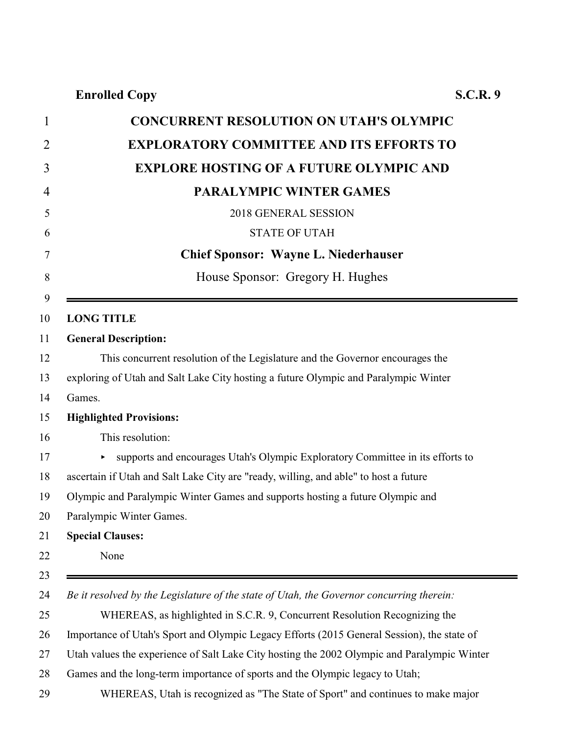## **Enrolled Copy S.C.R. 9**

| 1              | <b>CONCURRENT RESOLUTION ON UTAH'S OLYMPIC</b>                                              |
|----------------|---------------------------------------------------------------------------------------------|
| $\overline{2}$ | <b>EXPLORATORY COMMITTEE AND ITS EFFORTS TO</b>                                             |
| 3              | <b>EXPLORE HOSTING OF A FUTURE OLYMPIC AND</b>                                              |
| 4              | <b>PARALYMPIC WINTER GAMES</b>                                                              |
| 5              | 2018 GENERAL SESSION                                                                        |
| 6              | <b>STATE OF UTAH</b>                                                                        |
| $\overline{7}$ | <b>Chief Sponsor: Wayne L. Niederhauser</b>                                                 |
| 8              | House Sponsor: Gregory H. Hughes                                                            |
| 9              |                                                                                             |
| 10             | <b>LONG TITLE</b>                                                                           |
| 11             | <b>General Description:</b>                                                                 |
| 12             | This concurrent resolution of the Legislature and the Governor encourages the               |
| 13             | exploring of Utah and Salt Lake City hosting a future Olympic and Paralympic Winter         |
| 14             | Games.                                                                                      |
| 15             | <b>Highlighted Provisions:</b>                                                              |
| 16             | This resolution:                                                                            |
| 17             | supports and encourages Utah's Olympic Exploratory Committee in its efforts to              |
| 18             | ascertain if Utah and Salt Lake City are "ready, willing, and able" to host a future        |
| 19             | Olympic and Paralympic Winter Games and supports hosting a future Olympic and               |
| 20             | Paralympic Winter Games.                                                                    |
| 21             | <b>Special Clauses:</b>                                                                     |
| 22             | None                                                                                        |
| 23             |                                                                                             |
| 24             | Be it resolved by the Legislature of the state of Utah, the Governor concurring therein:    |
| 25             | WHEREAS, as highlighted in S.C.R. 9, Concurrent Resolution Recognizing the                  |
| 26             | Importance of Utah's Sport and Olympic Legacy Efforts (2015 General Session), the state of  |
| 27             | Utah values the experience of Salt Lake City hosting the 2002 Olympic and Paralympic Winter |
| 28             | Games and the long-term importance of sports and the Olympic legacy to Utah;                |

WHEREAS, Utah is recognized as "The State of Sport" and continues to make major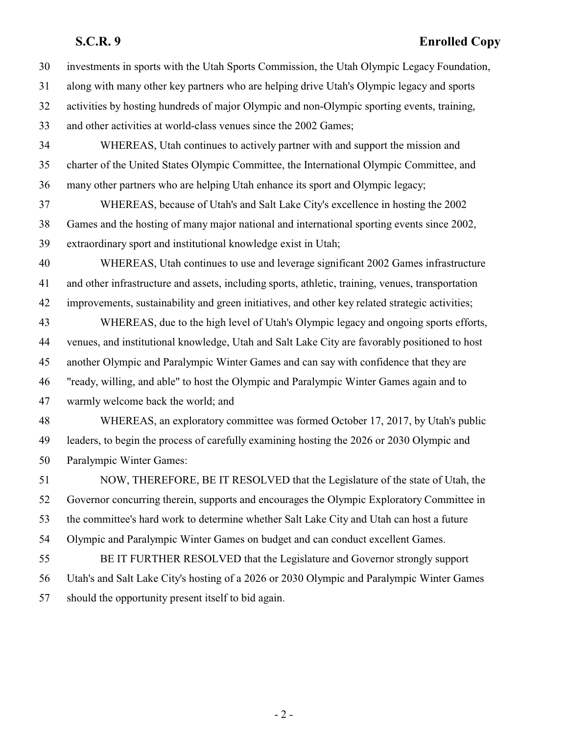## **S.C.R. 9 Enrolled Copy**

| 30 | investments in sports with the Utah Sports Commission, the Utah Olympic Legacy Foundation,        |
|----|---------------------------------------------------------------------------------------------------|
| 31 | along with many other key partners who are helping drive Utah's Olympic legacy and sports         |
| 32 | activities by hosting hundreds of major Olympic and non-Olympic sporting events, training,        |
| 33 | and other activities at world-class venues since the 2002 Games;                                  |
| 34 | WHEREAS, Utah continues to actively partner with and support the mission and                      |
| 35 | charter of the United States Olympic Committee, the International Olympic Committee, and          |
| 36 | many other partners who are helping Utah enhance its sport and Olympic legacy;                    |
| 37 | WHEREAS, because of Utah's and Salt Lake City's excellence in hosting the 2002                    |
| 38 | Games and the hosting of many major national and international sporting events since 2002,        |
| 39 | extraordinary sport and institutional knowledge exist in Utah;                                    |
| 40 | WHEREAS, Utah continues to use and leverage significant 2002 Games infrastructure                 |
| 41 | and other infrastructure and assets, including sports, athletic, training, venues, transportation |
| 42 | improvements, sustainability and green initiatives, and other key related strategic activities;   |
| 43 | WHEREAS, due to the high level of Utah's Olympic legacy and ongoing sports efforts,               |
| 44 | venues, and institutional knowledge, Utah and Salt Lake City are favorably positioned to host     |
| 45 | another Olympic and Paralympic Winter Games and can say with confidence that they are             |
| 46 | "ready, willing, and able" to host the Olympic and Paralympic Winter Games again and to           |
| 47 | warmly welcome back the world; and                                                                |
| 48 | WHEREAS, an exploratory committee was formed October 17, 2017, by Utah's public                   |
| 49 | leaders, to begin the process of carefully examining hosting the 2026 or 2030 Olympic and         |
| 50 | Paralympic Winter Games:                                                                          |
| 51 | NOW, THEREFORE, BE IT RESOLVED that the Legislature of the state of Utah, the                     |
| 52 | Governor concurring therein, supports and encourages the Olympic Exploratory Committee in         |
| 53 | the committee's hard work to determine whether Salt Lake City and Utah can host a future          |
| 54 | Olympic and Paralympic Winter Games on budget and can conduct excellent Games.                    |
| 55 | BE IT FURTHER RESOLVED that the Legislature and Governor strongly support                         |
| 56 | Utah's and Salt Lake City's hosting of a 2026 or 2030 Olympic and Paralympic Winter Games         |
| 57 | should the opportunity present itself to bid again.                                               |